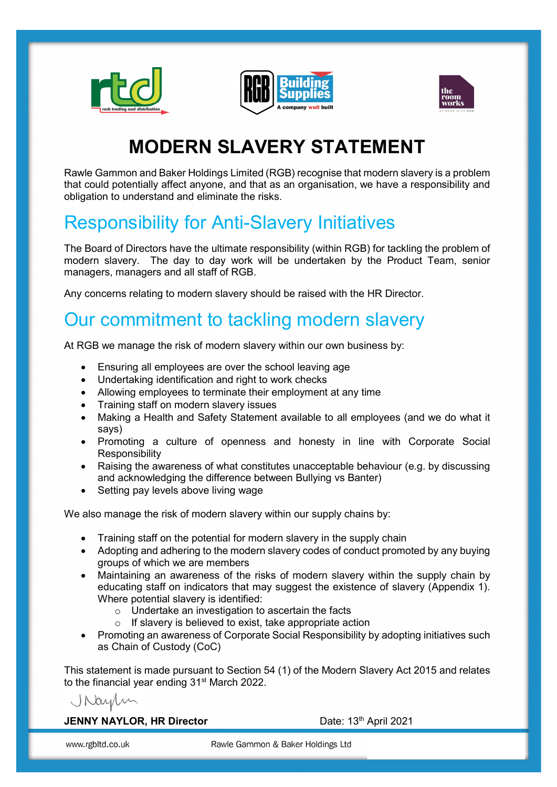





# MODERN SLAVERY STATEMENT

Rawle Gammon and Baker Holdings Limited (RGB) recognise that modern slavery is a problem that could potentially affect anyone, and that as an organisation, we have a responsibility and obligation to understand and eliminate the risks.

# Responsibility for Anti-Slavery Initiatives

The Board of Directors have the ultimate responsibility (within RGB) for tackling the problem of modern slavery. The day to day work will be undertaken by the Product Team, senior managers, managers and all staff of RGB.

Any concerns relating to modern slavery should be raised with the HR Director.

## Our commitment to tackling modern slavery

At RGB we manage the risk of modern slavery within our own business by:

- Ensuring all employees are over the school leaving age
- Undertaking identification and right to work checks
- Allowing employees to terminate their employment at any time
- Training staff on modern slavery issues
- Making a Health and Safety Statement available to all employees (and we do what it says)
- Promoting a culture of openness and honesty in line with Corporate Social **Responsibility**
- Raising the awareness of what constitutes unacceptable behaviour (e.g. by discussing and acknowledging the difference between Bullying vs Banter)
- Setting pay levels above living wage

We also manage the risk of modern slavery within our supply chains by:

- Training staff on the potential for modern slavery in the supply chain
- Adopting and adhering to the modern slavery codes of conduct promoted by any buying groups of which we are members
- Maintaining an awareness of the risks of modern slavery within the supply chain by educating staff on indicators that may suggest the existence of slavery (Appendix 1). Where potential slavery is identified:
	- o Undertake an investigation to ascertain the facts
	- o If slavery is believed to exist, take appropriate action
- Promoting an awareness of Corporate Social Responsibility by adopting initiatives such as Chain of Custody (CoC)

This statement is made pursuant to Section 54 (1) of the Modern Slavery Act 2015 and relates to the financial year ending 31<sup>st</sup> March 2022.

Naylin

#### JENNY NAYLOR, HR Director Date: 13th April 2021

www.rgbltd.co.uk

Rawle Gammon & Baker Holdings Ltd